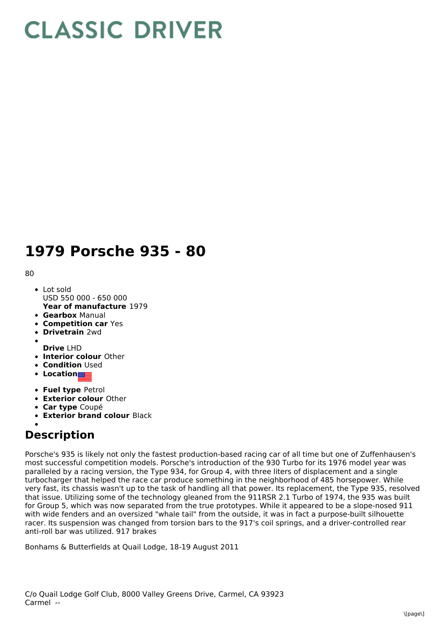## **CLASSIC DRIVER**

## **1979 Porsche 935 - 80**

80

- **Year of manufacture** 1979 Lot sold USD 550 000 - 650 000
- **Gearbox** Manual
- **Competition car** Yes
- **Drivetrain** 2wd
- **Drive** LHD
- **Interior colour** Other
- **Condition Used**
- **Location**
- **Fuel type** Petrol
- **Exterior colour** Other
- **Car type** Coupé
- **Exterior brand colour** Black

## **Description**

Porsche's 935 is likely not only the fastest production-based racing car of all time but one of Zuffenhausen's most successful competition models. Porsche's introduction of the 930 Turbo for its 1976 model year was paralleled by a racing version, the Type 934, for Group 4, with three liters of displacement and a single turbocharger that helped the race car produce something in the neighborhood of 485 horsepower. While very fast, its chassis wasn't up to the task of handling all that power. Its replacement, the Type 935, resolved that issue. Utilizing some of the technology gleaned from the 911RSR 2.1 Turbo of 1974, the 935 was built for Group 5, which was now separated from the true prototypes. While it appeared to be a slope-nosed 911 with wide fenders and an oversized "whale tail" from the outside, it was in fact a purpose-built silhouette racer. Its suspension was changed from torsion bars to the 917's coil springs, and a driver-controlled rear anti-roll bar was utilized. 917 brakes

Bonhams & Butterfields at Quail Lodge, 18-19 August 2011